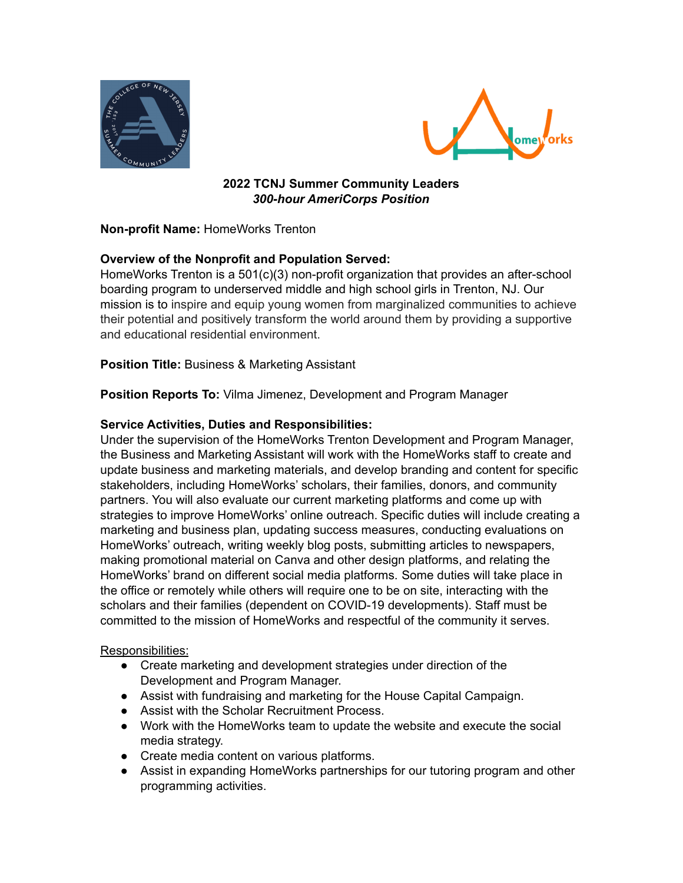



**2022 TCNJ Summer Community Leaders** *300-hour AmeriCorps Position*

# **Non-profit Name:** HomeWorks Trenton

# **Overview of the Nonprofit and Population Served:**

HomeWorks Trenton is a 501(c)(3) non-profit organization that provides an after-school boarding program to underserved middle and high school girls in Trenton, NJ. Our mission is to inspire and equip young women from marginalized communities to achieve their potential and positively transform the world around them by providing a supportive and educational residential environment.

### **Position Title:** Business & Marketing Assistant

**Position Reports To:** Vilma Jimenez, Development and Program Manager

### **Service Activities, Duties and Responsibilities:**

Under the supervision of the HomeWorks Trenton Development and Program Manager, the Business and Marketing Assistant will work with the HomeWorks staff to create and update business and marketing materials, and develop branding and content for specific stakeholders, including HomeWorks' scholars, their families, donors, and community partners. You will also evaluate our current marketing platforms and come up with strategies to improve HomeWorks' online outreach. Specific duties will include creating a marketing and business plan, updating success measures, conducting evaluations on HomeWorks' outreach, writing weekly blog posts, submitting articles to newspapers, making promotional material on Canva and other design platforms, and relating the HomeWorks' brand on different social media platforms. Some duties will take place in the office or remotely while others will require one to be on site, interacting with the scholars and their families (dependent on COVID-19 developments). Staff must be committed to the mission of HomeWorks and respectful of the community it serves.

### Responsibilities:

- Create marketing and development strategies under direction of the Development and Program Manager.
- Assist with fundraising and marketing for the House Capital Campaign.
- Assist with the Scholar Recruitment Process.
- Work with the HomeWorks team to update the website and execute the social media strategy.
- Create media content on various platforms.
- Assist in expanding HomeWorks partnerships for our tutoring program and other programming activities.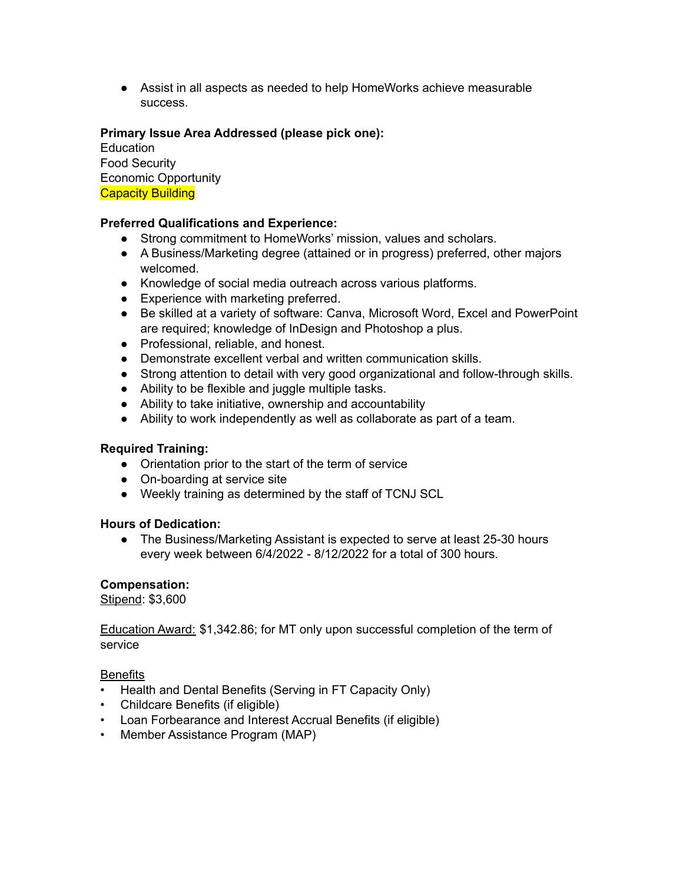● Assist in all aspects as needed to help HomeWorks achieve measurable success.

# **Primary Issue Area Addressed (please pick one):**

**Education** Food Security Economic Opportunity **Capacity Building** 

# **Preferred Qualifications and Experience:**

- Strong commitment to HomeWorks' mission, values and scholars.
- A Business/Marketing degree (attained or in progress) preferred, other majors welcomed.
- Knowledge of social media outreach across various platforms.
- Experience with marketing preferred.
- Be skilled at a variety of software: Canva, Microsoft Word, Excel and PowerPoint are required; knowledge of InDesign and Photoshop a plus.
- Professional, reliable, and honest.
- Demonstrate excellent verbal and written communication skills.
- Strong attention to detail with very good organizational and follow-through skills.
- Ability to be flexible and juggle multiple tasks.
- Ability to take initiative, ownership and accountability
- Ability to work independently as well as collaborate as part of a team.

### **Required Training:**

- Orientation prior to the start of the term of service
- On-boarding at service site
- Weekly training as determined by the staff of TCNJ SCL

### **Hours of Dedication:**

● The Business/Marketing Assistant is expected to serve at least 25-30 hours every week between 6/4/2022 - 8/12/2022 for a total of 300 hours.

### **Compensation:**

Stipend: \$3,600

Education Award: \$1,342.86; for MT only upon successful completion of the term of service

### **Benefits**

- Health and Dental Benefits (Serving in FT Capacity Only)
- Childcare Benefits (if eligible)
- Loan Forbearance and Interest Accrual Benefits (if eligible)
- Member Assistance Program (MAP)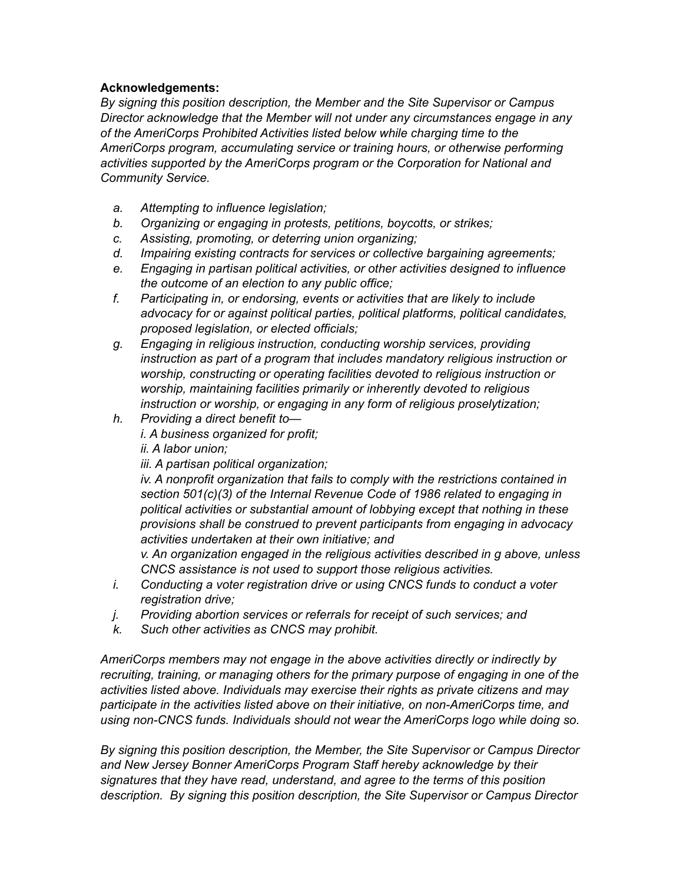# **Acknowledgements:**

*By signing this position description, the Member and the Site Supervisor or Campus Director acknowledge that the Member will not under any circumstances engage in any of the AmeriCorps Prohibited Activities listed below while charging time to the AmeriCorps program, accumulating service or training hours, or otherwise performing activities supported by the AmeriCorps program or the Corporation for National and Community Service.*

- *a. Attempting to influence legislation;*
- *b. Organizing or engaging in protests, petitions, boycotts, or strikes;*
- *c. Assisting, promoting, or deterring union organizing;*
- *d. Impairing existing contracts for services or collective bargaining agreements;*
- *e. Engaging in partisan political activities, or other activities designed to influence the outcome of an election to any public office;*
- *f. Participating in, or endorsing, events or activities that are likely to include advocacy for or against political parties, political platforms, political candidates, proposed legislation, or elected officials;*
- *g. Engaging in religious instruction, conducting worship services, providing instruction as part of a program that includes mandatory religious instruction or worship, constructing or operating facilities devoted to religious instruction or worship, maintaining facilities primarily or inherently devoted to religious instruction or worship, or engaging in any form of religious proselytization;*
- *h. Providing a direct benefit to i. A business organized for profit;*

*ii. A labor union;*

*iii. A partisan political organization;*

*iv. A nonprofit organization that fails to comply with the restrictions contained in section 501(c)(3) of the Internal Revenue Code of 1986 related to engaging in political activities or substantial amount of lobbying except that nothing in these provisions shall be construed to prevent participants from engaging in advocacy activities undertaken at their own initiative; and*

*v. An organization engaged in the religious activities described in g above, unless CNCS assistance is not used to support those religious activities.*

- *i. Conducting a voter registration drive or using CNCS funds to conduct a voter registration drive;*
- *j. Providing abortion services or referrals for receipt of such services; and*
- *k. Such other activities as CNCS may prohibit.*

*AmeriCorps members may not engage in the above activities directly or indirectly by recruiting, training, or managing others for the primary purpose of engaging in one of the activities listed above. Individuals may exercise their rights as private citizens and may participate in the activities listed above on their initiative, on non-AmeriCorps time, and using non-CNCS funds. Individuals should not wear the AmeriCorps logo while doing so.*

*By signing this position description, the Member, the Site Supervisor or Campus Director and New Jersey Bonner AmeriCorps Program Staff hereby acknowledge by their signatures that they have read, understand, and agree to the terms of this position description. By signing this position description, the Site Supervisor or Campus Director*